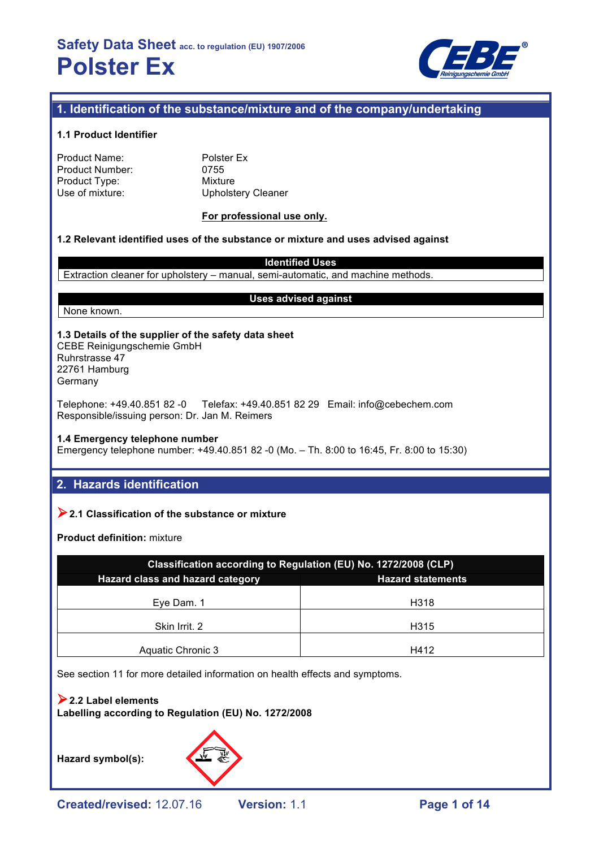

## **1. Identification of the substance/mixture and of the company/undertaking**

#### **1.1 Product Identifier**

| Product Name:          |
|------------------------|
| <b>Product Number:</b> |
| Product Type:          |
| Use of mixture:        |

Polster Ex 0755 **Mixture** Upholstery Cleaner

#### **For professional use only.**

#### **1.2 Relevant identified uses of the substance or mixture and uses advised against**

**Identified Uses**

Extraction cleaner for upholstery – manual, semi-automatic, and machine methods.

#### None known.

#### **Uses advised against**

**1.3 Details of the supplier of the safety data sheet** CEBE Reinigungschemie GmbH Ruhrstrasse 47 22761 Hamburg

Germany

Telephone: +49.40.851 82 -0 Telefax: +49.40.851 82 29 Email: info@cebechem.com Responsible/issuing person: Dr. Jan M. Reimers

#### **1.4 Emergency telephone number**

Emergency telephone number: +49.40.851 82 -0 (Mo. – Th. 8:00 to 16:45, Fr. 8:00 to 15:30)

## **2. Hazards identification**

### !**2.1 Classification of the substance or mixture**

**Product definition:** mixture

| Classification according to Regulation (EU) No. 1272/2008 (CLP) |                          |  |  |  |
|-----------------------------------------------------------------|--------------------------|--|--|--|
| Hazard class and hazard category                                | <b>Hazard statements</b> |  |  |  |
| Eye Dam. 1                                                      | H318                     |  |  |  |
| Skin Irrit. 2                                                   | H315                     |  |  |  |
| Aquatic Chronic 3                                               | H412                     |  |  |  |

See section 11 for more detailed information on health effects and symptoms.

#### !**2.2 Label elements Labelling according to Regulation (EU) No. 1272/2008**

**Hazard symbol(s):**

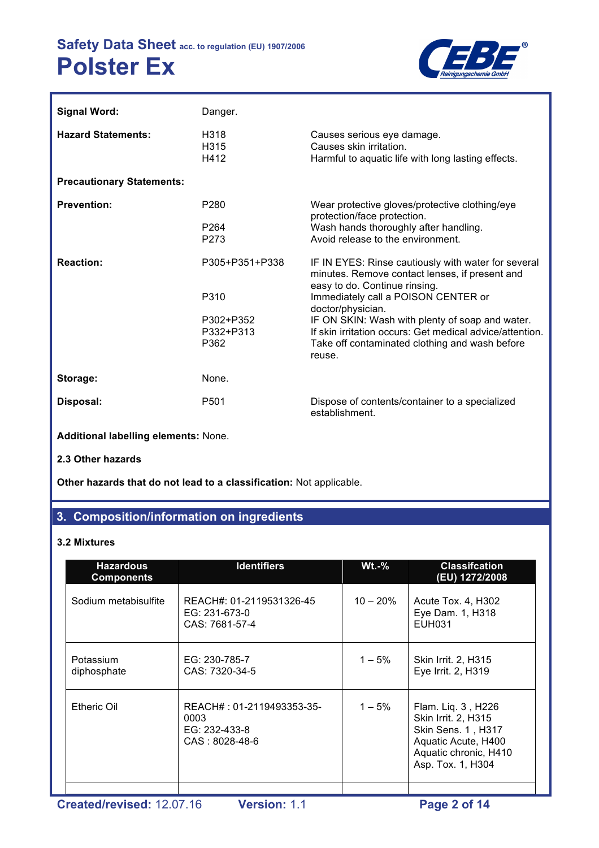

| <b>Signal Word:</b>              | Danger.                                                  |                                                                                                                                                                                                    |
|----------------------------------|----------------------------------------------------------|----------------------------------------------------------------------------------------------------------------------------------------------------------------------------------------------------|
| <b>Hazard Statements:</b>        | H318<br>H315<br>H412                                     | Causes serious eye damage.<br>Causes skin irritation.<br>Harmful to aquatic life with long lasting effects.                                                                                        |
| <b>Precautionary Statements:</b> |                                                          |                                                                                                                                                                                                    |
| <b>Prevention:</b>               | P <sub>280</sub><br>P <sub>264</sub><br>P <sub>273</sub> | Wear protective gloves/protective clothing/eye<br>protection/face protection.<br>Wash hands thoroughly after handling.<br>Avoid release to the environment.                                        |
| <b>Reaction:</b>                 | P305+P351+P338<br>P310                                   | IF IN EYES: Rinse cautiously with water for several<br>minutes. Remove contact lenses, if present and<br>easy to do. Continue rinsing.<br>Immediately call a POISON CENTER or<br>doctor/physician. |
|                                  | P302+P352<br>P332+P313<br>P362                           | IF ON SKIN: Wash with plenty of soap and water.<br>If skin irritation occurs: Get medical advice/attention.<br>Take off contaminated clothing and wash before<br>reuse.                            |
| Storage:                         | None.                                                    |                                                                                                                                                                                                    |
| Disposal:                        | P <sub>501</sub>                                         | Dispose of contents/container to a specialized<br>establishment.                                                                                                                                   |

**Additional labelling elements:** None.

**2.3 Other hazards**

**Other hazards that do not lead to a classification:** Not applicable.

## **3. Composition/information on ingredients**

#### **3.2 Mixtures**

| <b>Hazardous</b><br><b>Components</b> | <b>Identifiers</b>                                                   | $Wt.-%$    | <b>Classifcation</b><br>(EU) 1272/2008                                                                                               |
|---------------------------------------|----------------------------------------------------------------------|------------|--------------------------------------------------------------------------------------------------------------------------------------|
| Sodium metabisulfite                  | REACH#: 01-2119531326-45<br>EG: 231-673-0<br>CAS: 7681-57-4          | $10 - 20%$ | Acute Tox. 4, H302<br>Eye Dam. 1, H318<br><b>EUH031</b>                                                                              |
| Potassium<br>diphosphate              | EG: 230-785-7<br>CAS: 7320-34-5                                      | $1 - 5\%$  | <b>Skin Irrit. 2, H315</b><br>Eye Irrit. 2, H319                                                                                     |
| Etheric Oil                           | REACH#: 01-2119493353-35-<br>0003<br>EG: 232-433-8<br>CAS: 8028-48-6 | $1 - 5%$   | Flam. Liq. 3, H226<br>Skin Irrit. 2, H315<br>Skin Sens. 1, H317<br>Aquatic Acute, H400<br>Aquatic chronic, H410<br>Asp. Tox. 1, H304 |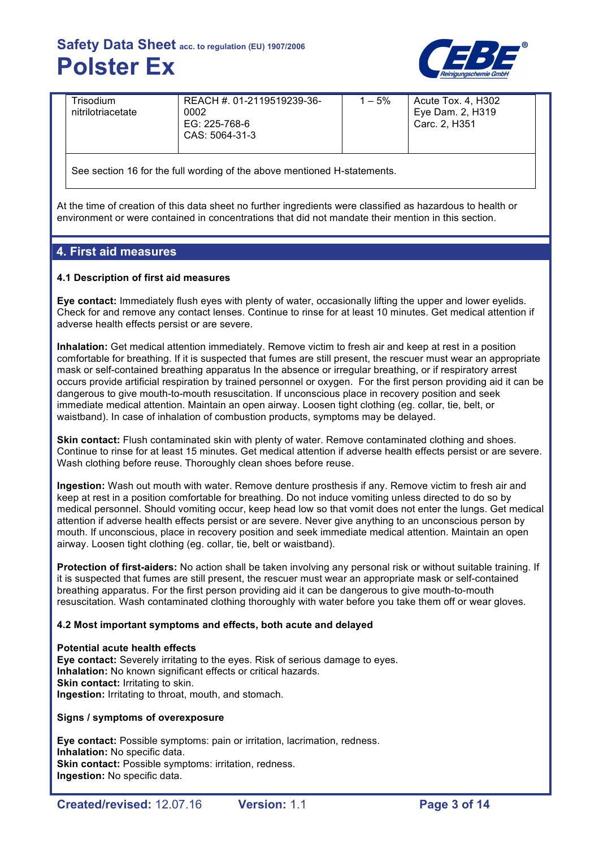

| Trisodium<br>nitrilotriacetate | REACH # 01-2119519239-36-<br>0002<br>EG: 225-768-6<br>CAS: 5064-31-3 | $-5%$ | Acute Tox. 4, H302<br>Eye Dam. 2, H319<br>Carc. 2. H351 |  |
|--------------------------------|----------------------------------------------------------------------|-------|---------------------------------------------------------|--|
|                                |                                                                      |       |                                                         |  |

See section 16 for the full wording of the above mentioned H-statements.

At the time of creation of this data sheet no further ingredients were classified as hazardous to health or environment or were contained in concentrations that did not mandate their mention in this section.

#### **4. First aid measures**

#### **4.1 Description of first aid measures**

**Eye contact:** Immediately flush eyes with plenty of water, occasionally lifting the upper and lower eyelids. Check for and remove any contact lenses. Continue to rinse for at least 10 minutes. Get medical attention if adverse health effects persist or are severe.

**Inhalation:** Get medical attention immediately. Remove victim to fresh air and keep at rest in a position comfortable for breathing. If it is suspected that fumes are still present, the rescuer must wear an appropriate mask or self-contained breathing apparatus In the absence or irregular breathing, or if respiratory arrest occurs provide artificial respiration by trained personnel or oxygen. For the first person providing aid it can be dangerous to give mouth-to-mouth resuscitation. If unconscious place in recovery position and seek immediate medical attention. Maintain an open airway. Loosen tight clothing (eg. collar, tie, belt, or waistband). In case of inhalation of combustion products, symptoms may be delayed.

**Skin contact:** Flush contaminated skin with plenty of water. Remove contaminated clothing and shoes. Continue to rinse for at least 15 minutes. Get medical attention if adverse health effects persist or are severe. Wash clothing before reuse. Thoroughly clean shoes before reuse.

**Ingestion:** Wash out mouth with water. Remove denture prosthesis if any. Remove victim to fresh air and keep at rest in a position comfortable for breathing. Do not induce vomiting unless directed to do so by medical personnel. Should vomiting occur, keep head low so that vomit does not enter the lungs. Get medical attention if adverse health effects persist or are severe. Never give anything to an unconscious person by mouth. If unconscious, place in recovery position and seek immediate medical attention. Maintain an open airway. Loosen tight clothing (eg. collar, tie, belt or waistband).

**Protection of first-aiders:** No action shall be taken involving any personal risk or without suitable training. If it is suspected that fumes are still present, the rescuer must wear an appropriate mask or self-contained breathing apparatus. For the first person providing aid it can be dangerous to give mouth-to-mouth resuscitation. Wash contaminated clothing thoroughly with water before you take them off or wear gloves.

#### **4.2 Most important symptoms and effects, both acute and delayed**

#### **Potential acute health effects**

**Eye contact:** Severely irritating to the eyes. Risk of serious damage to eyes. **Inhalation:** No known significant effects or critical hazards. **Skin contact: Irritating to skin. Ingestion:** Irritating to throat, mouth, and stomach.

**Signs / symptoms of overexposure**

**Eye contact:** Possible symptoms: pain or irritation, lacrimation, redness. **Inhalation:** No specific data. **Skin contact: Possible symptoms: irritation, redness. Ingestion:** No specific data.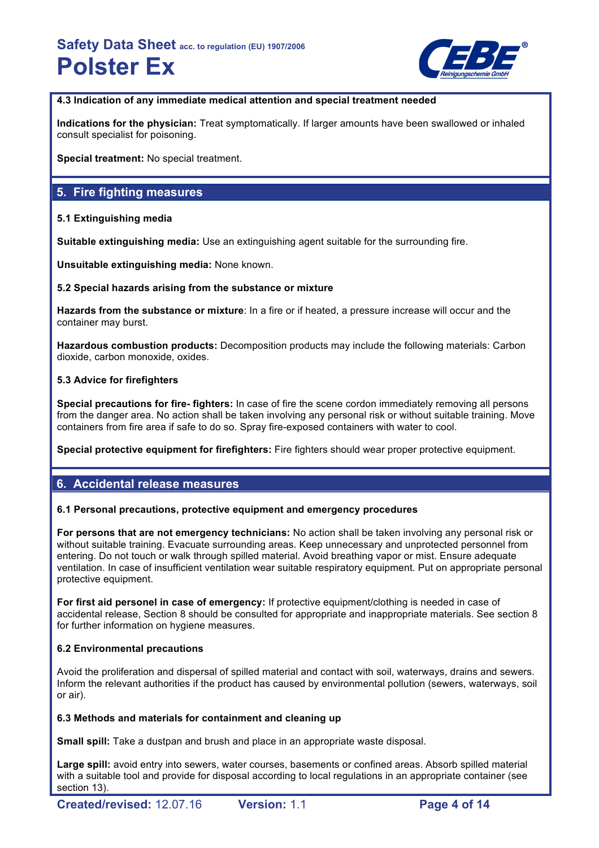

**4.3 Indication of any immediate medical attention and special treatment needed**

**Indications for the physician:** Treat symptomatically. If larger amounts have been swallowed or inhaled consult specialist for poisoning.

**Special treatment:** No special treatment.

## **5. Fire fighting measures**

#### **5.1 Extinguishing media**

**Suitable extinguishing media:** Use an extinguishing agent suitable for the surrounding fire.

**Unsuitable extinguishing media:** None known.

#### **5.2 Special hazards arising from the substance or mixture**

**Hazards from the substance or mixture**: In a fire or if heated, a pressure increase will occur and the container may burst.

**Hazardous combustion products:** Decomposition products may include the following materials: Carbon dioxide, carbon monoxide, oxides.

#### **5.3 Advice for firefighters**

**Special precautions for fire- fighters:** In case of fire the scene cordon immediately removing all persons from the danger area. No action shall be taken involving any personal risk or without suitable training. Move containers from fire area if safe to do so. Spray fire-exposed containers with water to cool.

**Special protective equipment for firefighters:** Fire fighters should wear proper protective equipment.

### **6. Accidental release measures**

#### **6.1 Personal precautions, protective equipment and emergency procedures**

**For persons that are not emergency technicians:** No action shall be taken involving any personal risk or without suitable training. Evacuate surrounding areas. Keep unnecessary and unprotected personnel from entering. Do not touch or walk through spilled material. Avoid breathing vapor or mist. Ensure adequate ventilation. In case of insufficient ventilation wear suitable respiratory equipment. Put on appropriate personal protective equipment.

**For first aid personel in case of emergency:** If protective equipment/clothing is needed in case of accidental release, Section 8 should be consulted for appropriate and inappropriate materials. See section 8 for further information on hygiene measures.

#### **6.2 Environmental precautions**

Avoid the proliferation and dispersal of spilled material and contact with soil, waterways, drains and sewers. Inform the relevant authorities if the product has caused by environmental pollution (sewers, waterways, soil or air).

#### **6.3 Methods and materials for containment and cleaning up**

**Small spill:** Take a dustpan and brush and place in an appropriate waste disposal.

Large spill: avoid entry into sewers, water courses, basements or confined areas. Absorb spilled material with a suitable tool and provide for disposal according to local regulations in an appropriate container (see section 13).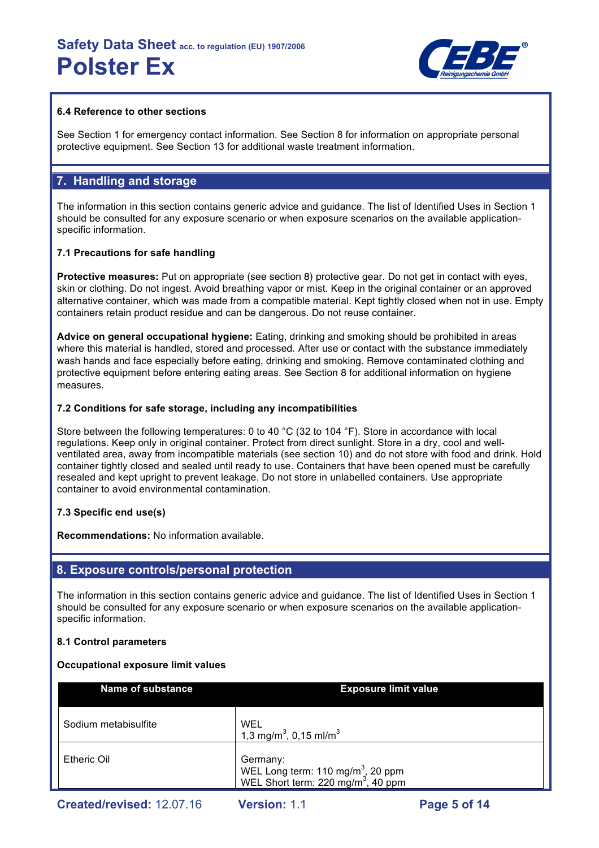

#### **6.4 Reference to other sections**

See Section 1 for emergency contact information. See Section 8 for information on appropriate personal protective equipment. See Section 13 for additional waste treatment information.

#### **7. Handling and storage**

The information in this section contains generic advice and guidance. The list of Identified Uses in Section 1 should be consulted for any exposure scenario or when exposure scenarios on the available applicationspecific information.

#### **7.1 Precautions for safe handling**

**Protective measures:** Put on appropriate (see section 8) protective gear. Do not get in contact with eyes, skin or clothing. Do not ingest. Avoid breathing vapor or mist. Keep in the original container or an approved alternative container, which was made from a compatible material. Kept tightly closed when not in use. Empty containers retain product residue and can be dangerous. Do not reuse container.

**Advice on general occupational hygiene:** Eating, drinking and smoking should be prohibited in areas where this material is handled, stored and processed. After use or contact with the substance immediately wash hands and face especially before eating, drinking and smoking. Remove contaminated clothing and protective equipment before entering eating areas. See Section 8 for additional information on hygiene measures.

#### **7.2 Conditions for safe storage, including any incompatibilities**

Store between the following temperatures: 0 to 40 °C (32 to 104 °F). Store in accordance with local regulations. Keep only in original container. Protect from direct sunlight. Store in a dry, cool and wellventilated area, away from incompatible materials (see section 10) and do not store with food and drink. Hold container tightly closed and sealed until ready to use. Containers that have been opened must be carefully resealed and kept upright to prevent leakage. Do not store in unlabelled containers. Use appropriate container to avoid environmental contamination.

#### **7.3 Specific end use(s)**

**Recommendations:** No information available.

#### **8. Exposure controls/personal protection**

The information in this section contains generic advice and guidance. The list of Identified Uses in Section 1 should be consulted for any exposure scenario or when exposure scenarios on the available applicationspecific information.

#### **8.1 Control parameters**

#### **Occupational exposure limit values**

| <b>Name of substance</b> | <b>Exposure limit value</b>                                                                                 |
|--------------------------|-------------------------------------------------------------------------------------------------------------|
| Sodium metabisulfite     | WEL<br>1,3 mg/m <sup>3</sup> , 0,15 ml/m <sup>3</sup>                                                       |
| Etheric Oil              | Germany:<br>WEL Long term: 110 mg/m <sup>3</sup> , 20 ppm<br>WEL Short term: 220 mg/m <sup>3</sup> , 40 ppm |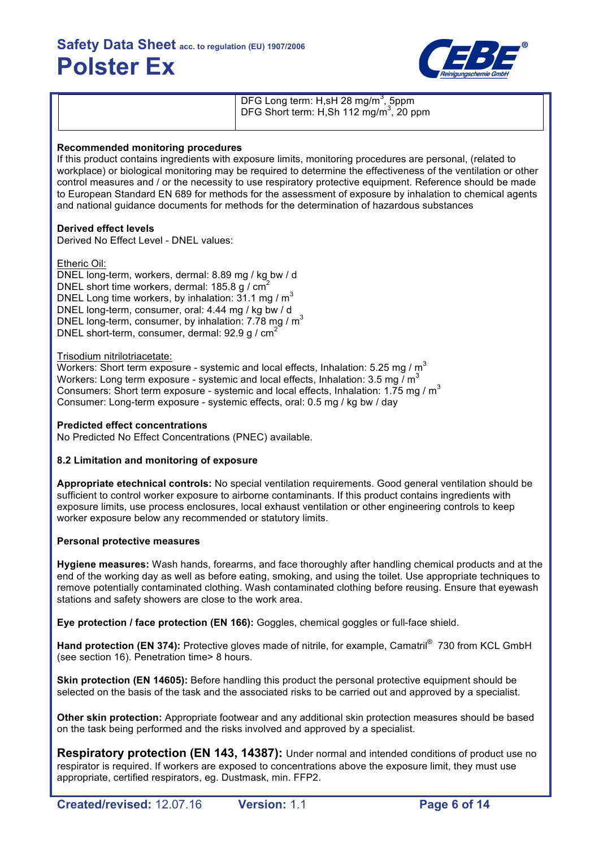

DFG Long term: H,sH 28 mg/m<sup>3</sup>, 5ppm DFG Short term: H,Sh 112 mg/m $3, 20$  ppm

#### **Recommended monitoring procedures**

If this product contains ingredients with exposure limits, monitoring procedures are personal, (related to workplace) or biological monitoring may be required to determine the effectiveness of the ventilation or other control measures and / or the necessity to use respiratory protective equipment. Reference should be made to European Standard EN 689 for methods for the assessment of exposure by inhalation to chemical agents and national guidance documents for methods for the determination of hazardous substances

### **Derived effect levels**

Derived No Effect Level - DNEL values:

#### Etheric Oil:

DNEL long-term, workers, dermal: 8.89 mg / kg bw / d DNEL short time workers, dermal: 185.8 g / cm<sup>2</sup> DNEL Long time workers, by inhalation:  $31.1 \text{ mg/m}^3$ DNEL long-term, consumer, oral: 4.44 mg / kg bw / d DNEL long-term, consumer, by inhalation: 7.78 mg / m<sup>3</sup> DNEL short-term, consumer, dermal: 92.9 g / cm<sup>2</sup>

#### Trisodium nitrilotriacetate:

Workers: Short term exposure - systemic and local effects, Inhalation: 5.25 mg /  $m^3$ Workers: Long term exposure - systemic and local effects, Inhalation: 3.5 mg  $\overline{I}$  m<sup>3</sup> Consumers: Short term exposure - systemic and local effects, Inhalation: 1.75 mg /  $m<sup>3</sup>$ Consumer: Long-term exposure - systemic effects, oral: 0.5 mg / kg bw / day

#### **Predicted effect concentrations**

No Predicted No Effect Concentrations (PNEC) available.

#### **8.2 Limitation and monitoring of exposure**

**Appropriate etechnical controls:** No special ventilation requirements. Good general ventilation should be sufficient to control worker exposure to airborne contaminants. If this product contains ingredients with exposure limits, use process enclosures, local exhaust ventilation or other engineering controls to keep worker exposure below any recommended or statutory limits.

#### **Personal protective measures**

**Hygiene measures:** Wash hands, forearms, and face thoroughly after handling chemical products and at the end of the working day as well as before eating, smoking, and using the toilet. Use appropriate techniques to remove potentially contaminated clothing. Wash contaminated clothing before reusing. Ensure that eyewash stations and safety showers are close to the work area.

**Eye protection / face protection (EN 166):** Goggles, chemical goggles or full-face shield.

Hand protection (EN 374): Protective gloves made of nitrile, for example, Camatril<sup>®</sup> 730 from KCL GmbH (see section 16). Penetration time> 8 hours.

**Skin protection (EN 14605):** Before handling this product the personal protective equipment should be selected on the basis of the task and the associated risks to be carried out and approved by a specialist.

**Other skin protection:** Appropriate footwear and any additional skin protection measures should be based on the task being performed and the risks involved and approved by a specialist.

**Respiratory protection (EN 143, 14387):** Under normal and intended conditions of product use no respirator is required. If workers are exposed to concentrations above the exposure limit, they must use appropriate, certified respirators, eg. Dustmask, min. FFP2.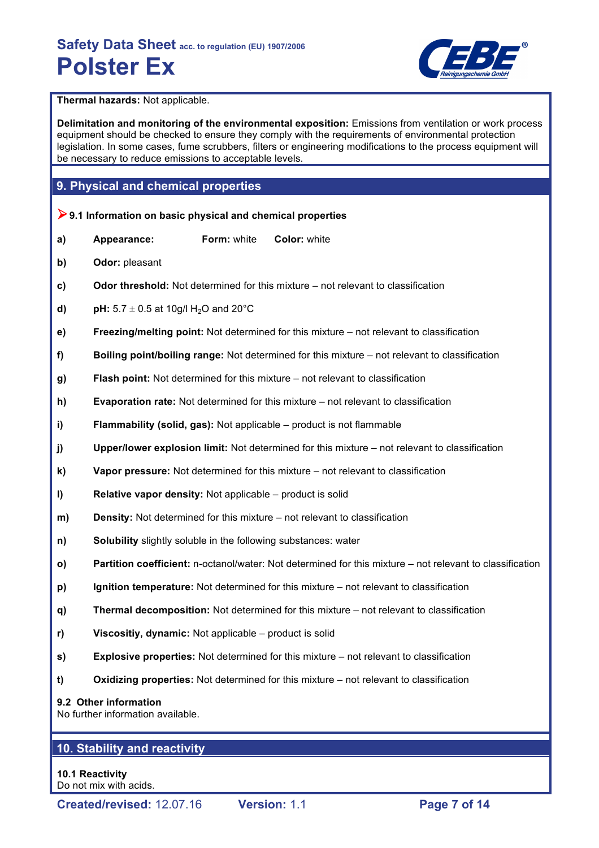

**Thermal hazards:** Not applicable.

**Delimitation and monitoring of the environmental exposition:** Emissions from ventilation or work process equipment should be checked to ensure they comply with the requirements of environmental protection legislation. In some cases, fume scrubbers, filters or engineering modifications to the process equipment will be necessary to reduce emissions to acceptable levels.

### **9. Physical and chemical properties**

- !**9.1 Information on basic physical and chemical properties**
- **a) Appearance: Form:** white **Color:** white
- **b) Odor:** pleasant
- **c) Odor threshold:** Not determined for this mixture not relevant to classification
- **d) pH:**  $5.7 \pm 0.5$  at 10g/l H<sub>2</sub>O and 20<sup>°</sup>C
- **e) Freezing/melting point:** Not determined for this mixture not relevant to classification
- **f) Boiling point/boiling range:** Not determined for this mixture not relevant to classification
- **g) Flash point:** Not determined for this mixture not relevant to classification
- **h) Evaporation rate:** Not determined for this mixture not relevant to classification
- **i) Flammability (solid, gas):** Not applicable product is not flammable
- **j) Upper/lower explosion limit:** Not determined for this mixture not relevant to classification
- **k) Vapor pressure:** Not determined for this mixture not relevant to classification
- **l) Relative vapor density:** Not applicable product is solid
- **m) Density:** Not determined for this mixture not relevant to classification
- **n) Solubility** slightly soluble in the following substances: water
- **o) Partition coefficient:** n-octanol/water: Not determined for this mixture not relevant to classification
- **p) Ignition temperature:** Not determined for this mixture not relevant to classification
- **q) Thermal decomposition:** Not determined for this mixture not relevant to classification
- **r) Viscositiy, dynamic:** Not applicable product is solid
- **s) Explosive properties:** Not determined for this mixture not relevant to classification
- **t) Oxidizing properties:** Not determined for this mixture not relevant to classification

#### **9.2 Other information**

No further information available.

## **10. Stability and reactivity**

**10.1 Reactivity** Do not mix with acids.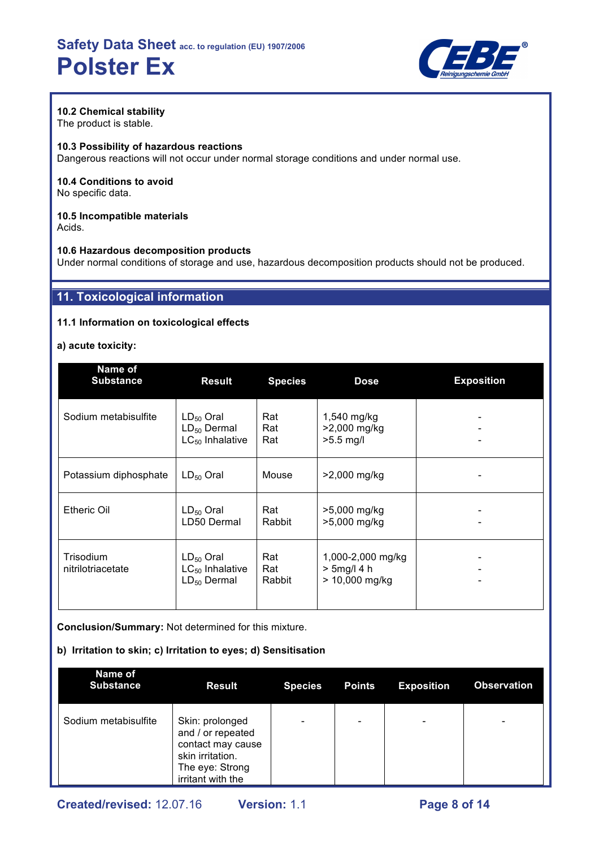

### **10.2 Chemical stability**

The product is stable.

#### **10.3 Possibility of hazardous reactions**

Dangerous reactions will not occur under normal storage conditions and under normal use.

#### **10.4 Conditions to avoid** No specific data.

#### **10.5 Incompatible materials** Acids.

**10.6 Hazardous decomposition products** Under normal conditions of storage and use, hazardous decomposition products should not be produced.

## **11. Toxicological information**

#### **11.1 Information on toxicological effects**

#### **a) acute toxicity:**

| Name of<br><b>Substance</b>           | <b>Result</b>                                              | <b>Species</b>       | <b>Dose</b>                                           | <b>Exposition</b> |
|---------------------------------------|------------------------------------------------------------|----------------------|-------------------------------------------------------|-------------------|
| Sodium metabisulfite                  | $LD_{50}$ Oral<br>$LD_{50}$ Dermal<br>$LC_{50}$ Inhalative | Rat<br>Rat<br>Rat    | 1,540 mg/kg<br>>2,000 mg/kg<br>$>5.5$ mg/l            |                   |
| Potassium diphosphate                 | $LD_{50}$ Oral                                             | Mouse                | >2,000 mg/kg                                          |                   |
| <b>Etheric Oil</b>                    | $LD_{50}$ Oral<br>LD50 Dermal                              | Rat<br>Rabbit        | >5,000 mg/kg<br>>5,000 mg/kg                          |                   |
| <b>Trisodium</b><br>nitrilotriacetate | $LD_{50}$ Oral<br>$LC_{50}$ Inhalative<br>$LD_{50}$ Dermal | Rat<br>Rat<br>Rabbit | 1,000-2,000 mg/kg<br>$> 5$ mg/l 4 h<br>> 10,000 mg/kg |                   |

**Conclusion/Summary:** Not determined for this mixture.

#### **b) Irritation to skin; c) Irritation to eyes; d) Sensitisation**

| Name of<br><b>Substance</b> | <b>Result</b>                                                                                                         | <b>Species</b> | <b>Points</b>            | <b>Exposition</b>            | <b>Observation</b>       |
|-----------------------------|-----------------------------------------------------------------------------------------------------------------------|----------------|--------------------------|------------------------------|--------------------------|
| Sodium metabisulfite        | Skin: prolonged<br>and / or repeated<br>contact may cause<br>skin irritation.<br>The eye: Strong<br>irritant with the |                | $\overline{\phantom{0}}$ | $\qquad \qquad \blacksquare$ | $\overline{\phantom{0}}$ |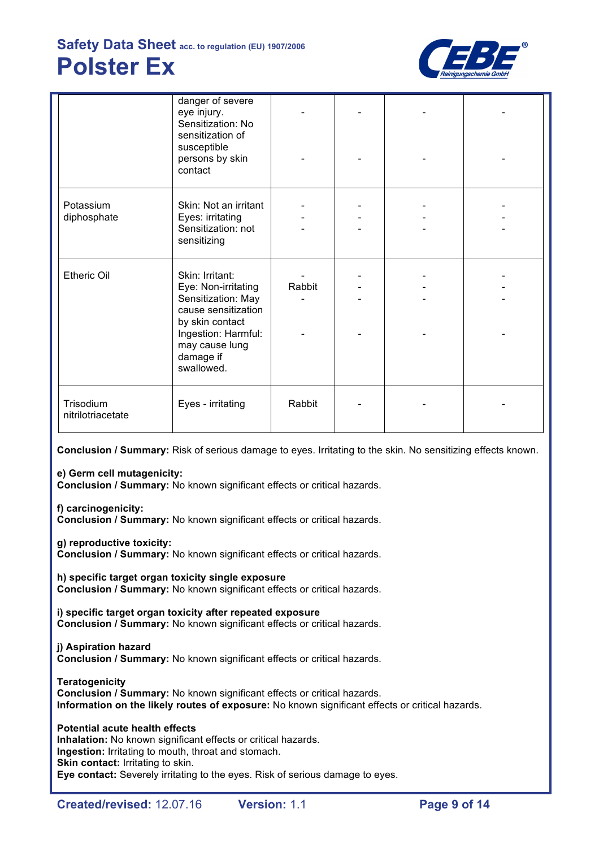

|                                | danger of severe<br>eye injury.<br>Sensitization: No<br>sensitization of                                                                                                   |        |  |  |
|--------------------------------|----------------------------------------------------------------------------------------------------------------------------------------------------------------------------|--------|--|--|
|                                | susceptible<br>persons by skin<br>contact                                                                                                                                  |        |  |  |
| Potassium<br>diphosphate       | Skin: Not an irritant<br>Eyes: irritating<br>Sensitization: not<br>sensitizing                                                                                             |        |  |  |
| Etheric Oil                    | Skin: Irritant:<br>Eye: Non-irritating<br>Sensitization: May<br>cause sensitization<br>by skin contact<br>Ingestion: Harmful:<br>may cause lung<br>damage if<br>swallowed. | Rabbit |  |  |
| Trisodium<br>nitrilotriacetate | Eyes - irritating                                                                                                                                                          | Rabbit |  |  |

**Conclusion / Summary:** Risk of serious damage to eyes. Irritating to the skin. No sensitizing effects known.

**e) Germ cell mutagenicity:**

**Conclusion / Summary:** No known significant effects or critical hazards.

**f) carcinogenicity:**

**Conclusion / Summary:** No known significant effects or critical hazards.

**g) reproductive toxicity:**

**Conclusion / Summary:** No known significant effects or critical hazards.

**h) specific target organ toxicity single exposure Conclusion / Summary:** No known significant effects or critical hazards.

**i) specific target organ toxicity after repeated exposure Conclusion / Summary:** No known significant effects or critical hazards.

#### **j) Aspiration hazard**

**Conclusion / Summary:** No known significant effects or critical hazards.

**Teratogenicity Conclusion / Summary:** No known significant effects or critical hazards. **Information on the likely routes of exposure:** No known significant effects or critical hazards.

**Potential acute health effects Inhalation:** No known significant effects or critical hazards. **Ingestion:** Irritating to mouth, throat and stomach. **Skin contact: Irritating to skin. Eye contact:** Severely irritating to the eyes. Risk of serious damage to eyes.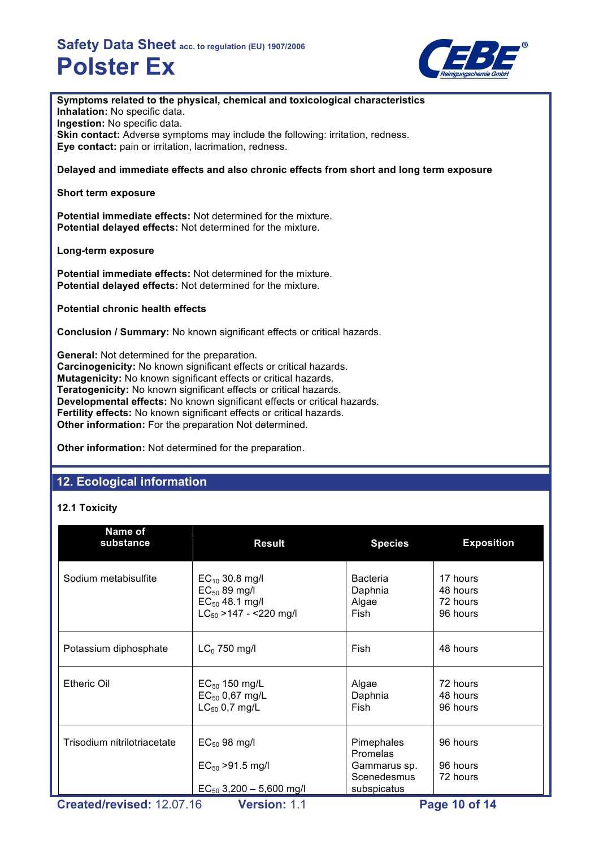

### **Symptoms related to the physical, chemical and toxicological characteristics**

**Inhalation:** No specific data.

**Ingestion:** No specific data. **Skin contact:** Adverse symptoms may include the following: irritation, redness. **Eye contact:** pain or irritation, lacrimation, redness.

#### **Delayed and immediate effects and also chronic effects from short and long term exposure**

#### **Short term exposure**

**Potential immediate effects:** Not determined for the mixture. **Potential delayed effects:** Not determined for the mixture.

#### **Long-term exposure**

**Potential immediate effects:** Not determined for the mixture. **Potential delayed effects:** Not determined for the mixture.

**Potential chronic health effects**

**Conclusion / Summary:** No known significant effects or critical hazards.

**General:** Not determined for the preparation. **Carcinogenicity:** No known significant effects or critical hazards. **Mutagenicity:** No known significant effects or critical hazards. **Teratogenicity:** No known significant effects or critical hazards. **Developmental effects:** No known significant effects or critical hazards. **Fertility effects:** No known significant effects or critical hazards. **Other information:** For the preparation Not determined.

**Other information:** Not determined for the preparation.

## **12. Ecological information**

### **12.1 Toxicity**

| Name of<br>substance        | <b>Result</b>                                                                                 | <b>Species</b>                                        | <b>Exposition</b>                            |
|-----------------------------|-----------------------------------------------------------------------------------------------|-------------------------------------------------------|----------------------------------------------|
| Sodium metabisulfite        | $EC_{10}$ 30.8 mg/l<br>$EC_{50}$ 89 mg/l<br>$EC_{50}$ 48.1 mg/l<br>$LC_{50}$ >147 - <220 mg/l | <b>Bacteria</b><br>Daphnia<br>Algae<br>Fish           | 17 hours<br>48 hours<br>72 hours<br>96 hours |
| Potassium diphosphate       | $LC0$ 750 mg/l                                                                                | Fish                                                  | 48 hours                                     |
| <b>Etheric Oil</b>          | $EC_{50}$ 150 mg/L<br>$EC_{50}$ 0,67 mg/L<br>$LC_{50}$ 0,7 mg/L                               | Algae<br>Daphnia<br>Fish                              | 72 hours<br>48 hours<br>96 hours             |
| Trisodium nitrilotriacetate | $EC_{50}$ 98 mg/l<br>$EC_{50}$ >91.5 mg/l                                                     | Pimephales<br>Promelas<br>Gammarus sp.<br>Scenedesmus | 96 hours<br>96 hours<br>72 hours             |
|                             | $EC_{50}$ 3,200 - 5,600 mg/l                                                                  | subspicatus<br>$\overline{\phantom{a}}$               | 48.CAA                                       |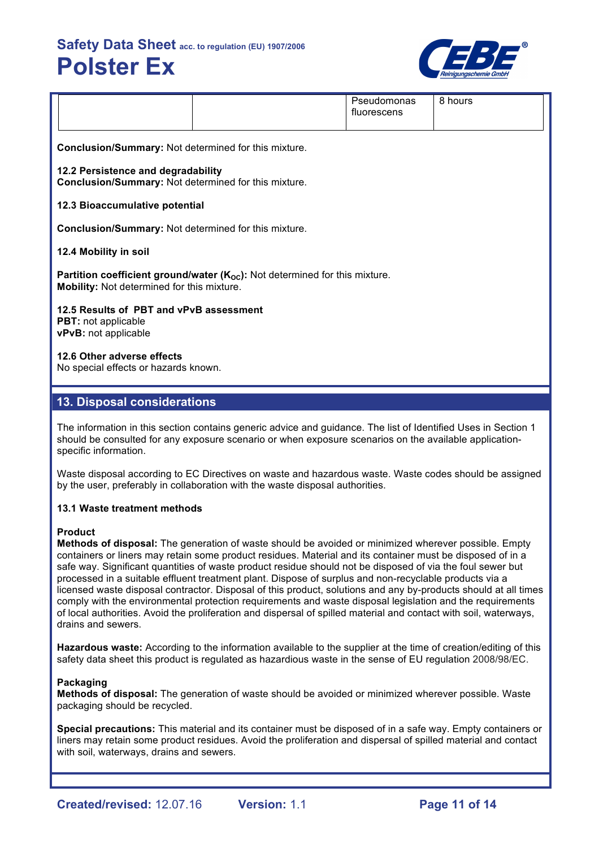

|                                                             |                                                                                            | Pseudomonas<br>fluorescens | 8 hours |  |  |  |
|-------------------------------------------------------------|--------------------------------------------------------------------------------------------|----------------------------|---------|--|--|--|
| <b>Conclusion/Summary: Not determined for this mixture.</b> |                                                                                            |                            |         |  |  |  |
|                                                             | 12.2 Persistence and degradability<br>Conclusion/Summary: Not determined for this mixture. |                            |         |  |  |  |

#### **12.3 Bioaccumulative potential**

**Conclusion/Summary:** Not determined for this mixture.

#### **12.4 Mobility in soil**

**Partition coefficient ground/water (K<sub>OC</sub>):** Not determined for this mixture. **Mobility:** Not determined for this mixture.

**12.5 Results of PBT and vPvB assessment PBT:** not applicable

**vPvB:** not applicable

#### **12.6 Other adverse effects**

No special effects or hazards known.

### **13. Disposal considerations**

The information in this section contains generic advice and guidance. The list of Identified Uses in Section 1 should be consulted for any exposure scenario or when exposure scenarios on the available applicationspecific information.

Waste disposal according to EC Directives on waste and hazardous waste. Waste codes should be assigned by the user, preferably in collaboration with the waste disposal authorities.

#### **13.1 Waste treatment methods**

#### **Product**

**Methods of disposal:** The generation of waste should be avoided or minimized wherever possible. Empty containers or liners may retain some product residues. Material and its container must be disposed of in a safe way. Significant quantities of waste product residue should not be disposed of via the foul sewer but processed in a suitable effluent treatment plant. Dispose of surplus and non-recyclable products via a licensed waste disposal contractor. Disposal of this product, solutions and any by-products should at all times comply with the environmental protection requirements and waste disposal legislation and the requirements of local authorities. Avoid the proliferation and dispersal of spilled material and contact with soil, waterways, drains and sewers.

**Hazardous waste:** According to the information available to the supplier at the time of creation/editing of this safety data sheet this product is regulated as hazardious waste in the sense of EU regulation 2008/98/EC.

#### **Packaging**

**Methods of disposal:** The generation of waste should be avoided or minimized wherever possible. Waste packaging should be recycled.

**Special precautions:** This material and its container must be disposed of in a safe way. Empty containers or liners may retain some product residues. Avoid the proliferation and dispersal of spilled material and contact with soil, waterways, drains and sewers.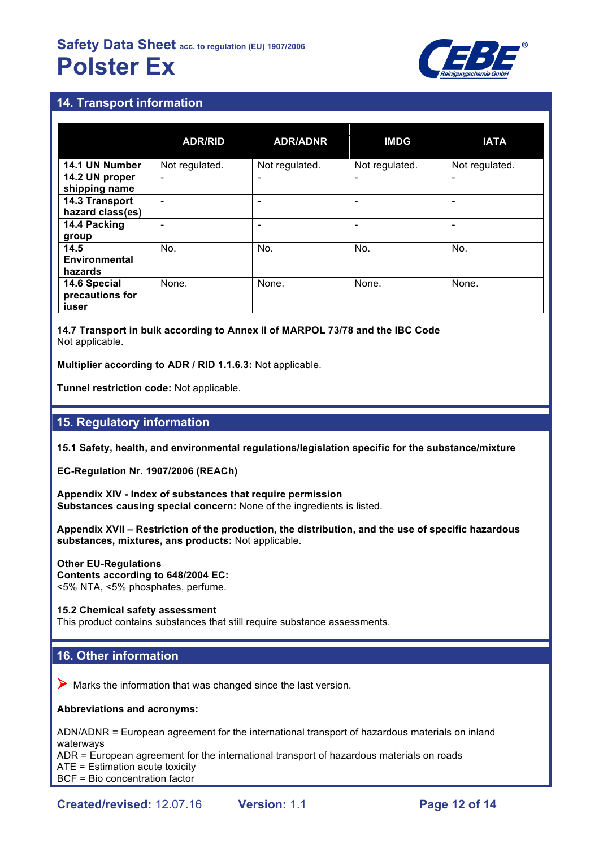

## **14. Transport information**

|                                          | <b>ADR/RID</b> | <b>ADR/ADNR</b> | <b>IMDG</b>    | <b>IATA</b>              |
|------------------------------------------|----------------|-----------------|----------------|--------------------------|
| 14.1 UN Number                           | Not regulated. | Not regulated.  | Not regulated. | Not regulated.           |
| 14.2 UN proper<br>shipping name          | ٠              |                 |                | $\overline{\phantom{0}}$ |
| 14.3 Transport<br>hazard class(es)       | -              |                 |                | -                        |
| 14.4 Packing<br>group                    |                |                 |                | ۰                        |
| 14.5<br><b>Environmental</b><br>hazards  | No.            | No.             | No.            | No.                      |
| 14.6 Special<br>precautions for<br>iuser | None.          | None.           | None.          | None.                    |

**14.7 Transport in bulk according to Annex II of MARPOL 73/78 and the IBC Code** Not applicable.

**Multiplier according to ADR / RID 1.1.6.3:** Not applicable.

**Tunnel restriction code:** Not applicable.

### **15. Regulatory information**

**15.1 Safety, health, and environmental regulations/legislation specific for the substance/mixture**

**EC-Regulation Nr. 1907/2006 (REACh)**

**Appendix XIV - Index of substances that require permission Substances causing special concern:** None of the ingredients is listed.

**Appendix XVII – Restriction of the production, the distribution, and the use of specific hazardous substances, mixtures, ans products:** Not applicable.

**Other EU-Regulations Contents according to 648/2004 EC:** <5% NTA, <5% phosphates, perfume.

**15.2 Chemical safety assessment**

This product contains substances that still require substance assessments.

## **16. Other information**

 $\triangleright$  Marks the information that was changed since the last version.

#### **Abbreviations and acronyms:**

ADN/ADNR = European agreement for the international transport of hazardous materials on inland waterways

ADR = European agreement for the international transport of hazardous materials on roads

ATE = Estimation acute toxicity

BCF = Bio concentration factor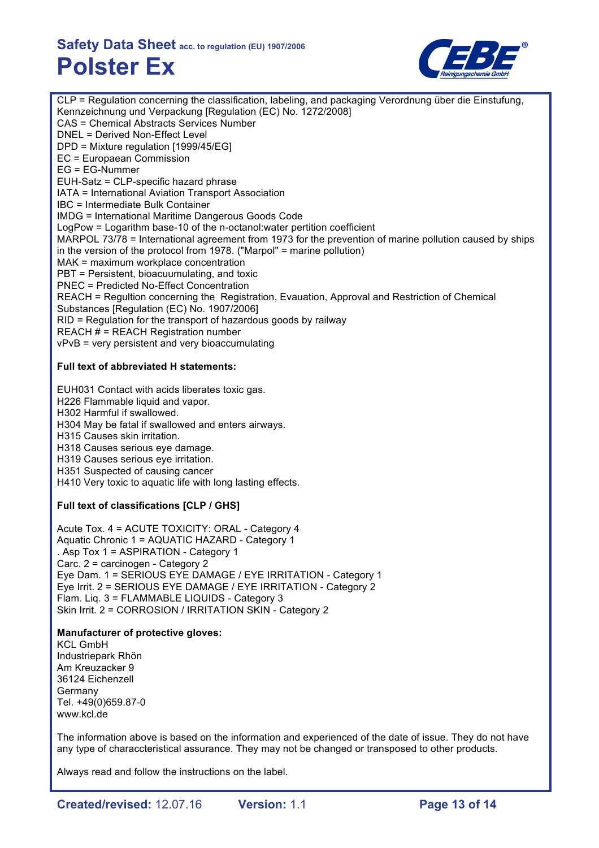

CLP = Regulation concerning the classification, labeling, and packaging Verordnung über die Einstufung, Kennzeichnung und Verpackung [Regulation (EC) No. 1272/2008] CAS = Chemical Abstracts Services Number DNEL = Derived Non-Effect Level DPD = Mixture regulation [1999/45/EG] EC = Europaean Commission EG = EG-Nummer EUH-Satz = CLP-specific hazard phrase IATA = International Aviation Transport Association IBC = Intermediate Bulk Container IMDG = International Maritime Dangerous Goods Code LogPow = Logarithm base-10 of the n-octanol:water pertition coefficient MARPOL 73/78 = International agreement from 1973 for the prevention of marine pollution caused by ships in the version of the protocol from 1978. ("Marpol" = marine pollution) MAK = maximum workplace concentration PBT = Persistent, bioacuumulating, and toxic PNEC = Predicted No-Effect Concentration REACH = Regultion concerning the Registration, Evauation, Approval and Restriction of Chemical Substances [Regulation (EC) No. 1907/2006] RID = Regulation for the transport of hazardous goods by railway REACH # = REACH Registration number vPvB = very persistent and very bioaccumulating

#### **Full text of abbreviated H statements:**

EUH031 Contact with acids liberates toxic gas. H226 Flammable liquid and vapor. H302 Harmful if swallowed. H304 May be fatal if swallowed and enters airways. H315 Causes skin irritation. H318 Causes serious eye damage. H319 Causes serious eye irritation.

H351 Suspected of causing cancer

H410 Very toxic to aquatic life with long lasting effects.

#### **Full text of classifications [CLP / GHS]**

Acute Tox. 4 = ACUTE TOXICITY: ORAL - Category 4 Aquatic Chronic 1 = AQUATIC HAZARD - Category 1 . Asp Tox 1 = ASPIRATION - Category 1 Carc. 2 = carcinogen - Category 2 Eye Dam. 1 = SERIOUS EYE DAMAGE / EYE IRRITATION - Category 1 Eye Irrit. 2 = SERIOUS EYE DAMAGE / EYE IRRITATION - Category 2 Flam. Liq. 3 = FLAMMABLE LIQUIDS - Category 3 Skin Irrit. 2 = CORROSION / IRRITATION SKIN - Category 2

#### **Manufacturer of protective gloves:**

KCL GmbH Industriepark Rhön Am Kreuzacker 9 36124 Eichenzell **Germany** Tel. +49(0)659.87-0 www.kcl.de

The information above is based on the information and experienced of the date of issue. They do not have any type of characcteristical assurance. They may not be changed or transposed to other products.

Always read and follow the instructions on the label.